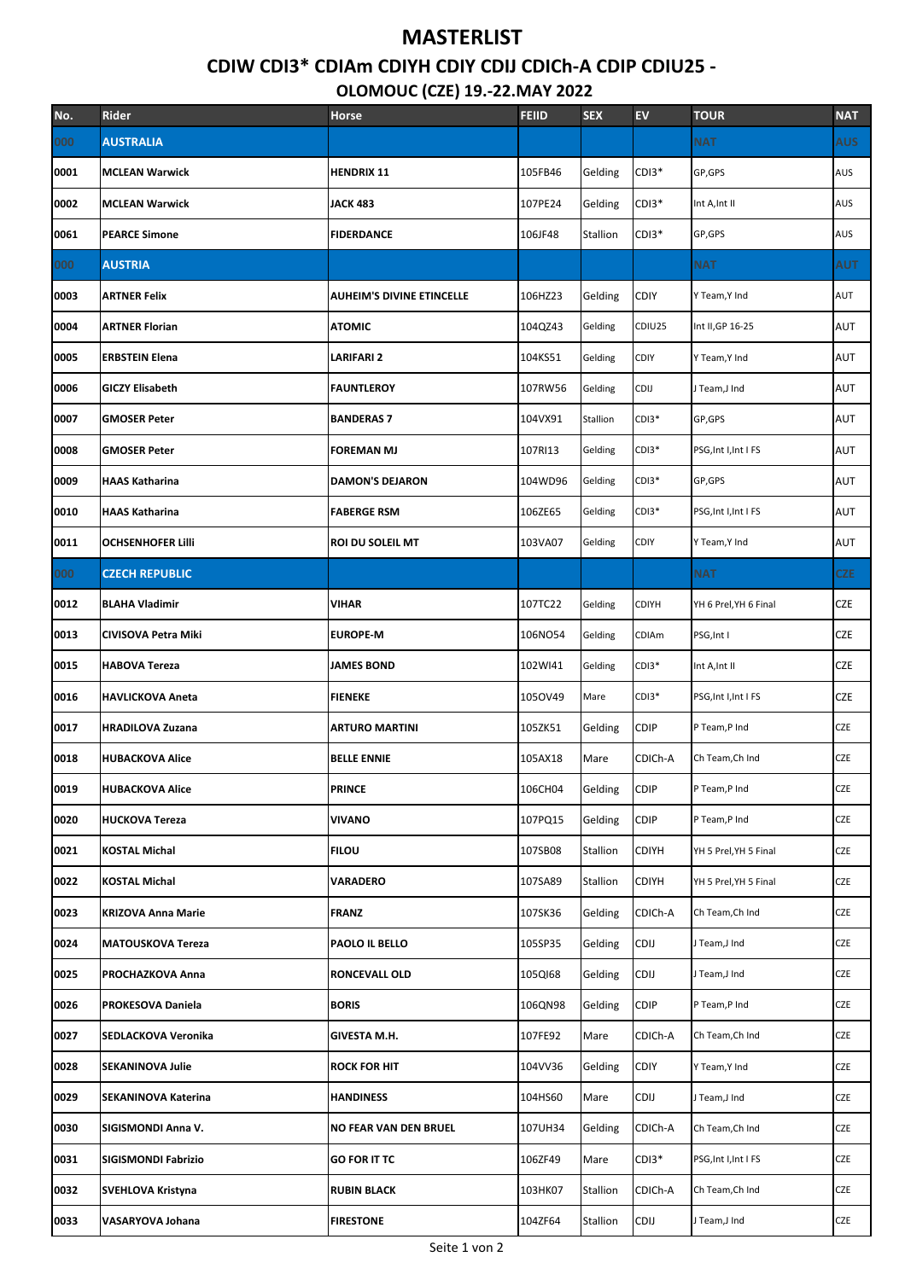## **MASTERLIST**

## CDIW CDI3\* CDIAm CDIYH CDIY CDIJ CDICh-A CDIP CDIU25 -**OLOMOUC (CZE) 19.-22.MAY 2022**

|      |                           | OLONOOC (CZL) 19.-ZZ.IVIAT ZUZZ  |              |            |              |                       |            |  |
|------|---------------------------|----------------------------------|--------------|------------|--------------|-----------------------|------------|--|
| No.  | Rider                     | Horse                            | <b>FEIID</b> | <b>SEX</b> | EV           | <b>TOUR</b>           | <b>NAT</b> |  |
| 000  | <b>AUSTRALIA</b>          |                                  |              |            |              | <b>NAT</b>            | <b>AUS</b> |  |
| 0001 | <b>MCLEAN Warwick</b>     | <b>HENDRIX 11</b>                | 105FB46      | Gelding    | CDI3*        | GP, GPS               | AUS        |  |
| 0002 | <b>MCLEAN Warwick</b>     | <b>JACK 483</b>                  | 107PE24      | Gelding    | $CDI3*$      | Int A, Int II         | AUS        |  |
| 0061 | <b>PEARCE Simone</b>      | <b>FIDERDANCE</b>                | 106JF48      | Stallion   | CDI3*        | GP,GPS                | AUS        |  |
| 000  | <b>AUSTRIA</b>            |                                  |              |            |              | <b>NAT</b>            | <b>AUT</b> |  |
| 0003 | ARTNER Felix              | <b>AUHEIM'S DIVINE ETINCELLE</b> | 106HZ23      | Gelding    | <b>CDIY</b>  | Y Team, Y Ind         | AUT        |  |
| 0004 | <b>ARTNER Florian</b>     | <b>ATOMIC</b>                    | 104QZ43      | Gelding    | CDIU25       | Int II, GP 16-25      | AUT        |  |
| 0005 | <b>ERBSTEIN Elena</b>     | LARIFARI 2                       | 104KS51      | Gelding    | CDIY         | Y Team, Y Ind         | AUT        |  |
| 0006 | <b>GICZY Elisabeth</b>    | <b>FAUNTLEROY</b>                | 107RW56      | Gelding    | CDIJ         | J Team,J Ind          | AUT        |  |
| 0007 | <b>GMOSER Peter</b>       | <b>BANDERAS 7</b>                | 104VX91      | Stallion   | $CDI3*$      | GP, GPS               | AUT        |  |
| 0008 | <b>GMOSER Peter</b>       | <b>FOREMAN MJ</b>                | 107RI13      | Gelding    | $CDI3*$      | PSG, Int I, Int I FS  | AUT        |  |
| 0009 | <b>HAAS Katharina</b>     | <b>DAMON'S DEJARON</b>           | 104WD96      | Gelding    | $CDI3*$      | GP, GPS               | AUT        |  |
| 0010 | HAAS Katharina            | <b>FABERGE RSM</b>               | 106ZE65      | Gelding    | $CDI3*$      | PSG, Int I, Int I FS  | AUT        |  |
| 0011 | <b>OCHSENHOFER LIlli</b>  | ROI DU SOLEIL MT                 | 103VA07      | Gelding    | CDIY         | Y Team, Y Ind         | AUT        |  |
| 000  | <b>CZECH REPUBLIC</b>     |                                  |              |            |              | <b>NAT</b>            | CZE        |  |
| 0012 | <b>BLAHA Vladimir</b>     | <b>VIHAR</b>                     | 107TC22      | Gelding    | CDIYH        | YH 6 Prel, YH 6 Final | CZE        |  |
| 0013 | CIVISOVA Petra Miki       | <b>EUROPE-M</b>                  | 106NO54      | Gelding    | CDIAm        | PSG, Int I            | CZE        |  |
| 0015 | <b>HABOVA Tereza</b>      | <b>JAMES BOND</b>                | 102WI41      | Gelding    | $CDI3*$      | Int A, Int II         | CZE        |  |
| 0016 | <b>HAVLICKOVA Aneta</b>   | <b>FIENEKE</b>                   | 1050V49      | Mare       | $CDI3*$      | PSG, Int I, Int I FS  | CZE        |  |
| 0017 | <b>HRADILOVA Zuzana</b>   | <b>ARTURO MARTINI</b>            | 105ZK51      | Gelding    | <b>CDIP</b>  | P Team,P Ind          | CZE        |  |
| 0018 | <b>HUBACKOVA Alice</b>    | <b>BELLE ENNIE</b>               | 105AX18      | Mare       | CDICh-A      | Ch Team, Ch Ind       | CZE        |  |
| 0019 | <b>HUBACKOVA Alice</b>    | <b>PRINCE</b>                    | 106CH04      | Gelding    | <b>CDIP</b>  | P Team,P Ind          | CZE        |  |
| 0020 | <b>HUCKOVA Tereza</b>     | <b>VIVANO</b>                    | 107PQ15      | Gelding    | <b>CDIP</b>  | P Team,P Ind          | CZE        |  |
| 0021 | KOSTAL Michal             | <b>FILOU</b>                     | 107SB08      | Stallion   | <b>CDIYH</b> | YH 5 Prel, YH 5 Final | CZE        |  |
| 0022 | <b>KOSTAL Michal</b>      | VARADERO                         | 107SA89      | Stallion   | <b>CDIYH</b> | YH 5 Prel, YH 5 Final | CZE        |  |
| 0023 | <b>KRIZOVA Anna Marie</b> | <b>FRANZ</b>                     | 107SK36      | Gelding    | CDICh-A      | Ch Team, Ch Ind       | CZE        |  |
| 0024 | <b>MATOUSKOVA Tereza</b>  | PAOLO IL BELLO                   | 105SP35      | Gelding    | <b>CDIJ</b>  | Team,J Ind            | CZE        |  |
| 0025 | PROCHAZKOVA Anna          | RONCEVALL OLD                    | 105QI68      | Gelding    | CDIJ         | Team,J Ind            | CZE        |  |
| 0026 | PROKESOVA Daniela         | <b>BORIS</b>                     | 106QN98      | Gelding    | <b>CDIP</b>  | P Team,P Ind          | CZE        |  |
| 0027 | SEDLACKOVA Veronika       | GIVESTA M.H.                     | 107FE92      | Mare       | CDICh-A      | Ch Team, Ch Ind       | CZE        |  |
| 0028 | <b>SEKANINOVA Julie</b>   | <b>ROCK FOR HIT</b>              | 104VV36      | Gelding    | CDIY         | Y Team, Y Ind         | CZE        |  |
| 0029 | SEKANINOVA Katerina       | <b>HANDINESS</b>                 | 104HS60      | Mare       | <b>CDIJ</b>  | Team,J Ind            | CZE        |  |
| 0030 | SIGISMONDI Anna V.        | NO FEAR VAN DEN BRUEL            | 107UH34      | Gelding    | CDICh-A      | Ch Team, Ch Ind       | CZE        |  |
| 0031 | SIGISMONDI Fabrizio       | <b>GO FOR IT TC</b>              | 106ZF49      | Mare       | $CDI3*$      | PSG, Int I, Int I FS  | CZE        |  |
| 0032 | SVEHLOVA Kristyna         | <b>RUBIN BLACK</b>               | 103HK07      | Stallion   | CDICh-A      | Ch Team, Ch Ind       | CZE        |  |
| 0033 | VASARYOVA Johana          | <b>FIRESTONE</b>                 | 104ZF64      | Stallion   | CDIJ         | Team,J Ind            | CZE        |  |